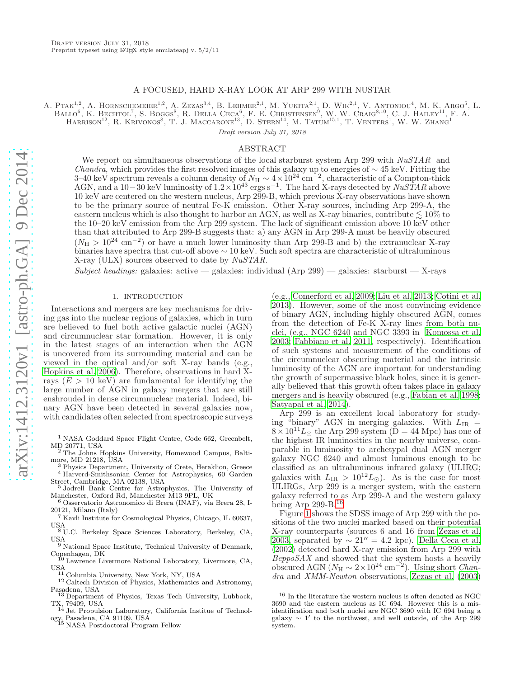## A FOCUSED, HARD X-RAY LOOK AT ARP 299 WITH NUSTAR

A. PTAK<sup>1,2</sup>, A. HORNSCHEMEIER<sup>1,2</sup>, A. ZEZAS<sup>3,4</sup>, B. LEHMER<sup>2,1</sup>, M. YUKITA<sup>2,1</sup>, D. WIK<sup>2,1</sup>, V. ANTONIOU<sup>4</sup>, M. K. ARGO<sup>5</sup>, L. BALLO<sup>6</sup>, K. BECHTOL<sup>7</sup>, S. BOGGS<sup>8</sup>, R. DELLA CECA<sup>6</sup>, F. E. CHRISTENSEN<sup>9</sup>, W. W. CRAIG<sup>8,10</sup>, C. J. HAILEY<sup>11</sup>, F. A. HARRISON<sup>12</sup>, R. KRIVONOS<sup>8</sup>, T. J. MACCARONE<sup>13</sup>, D. STERN<sup>14</sup>, M. TATUM<sup>15,1</sup>, T. VENTERS<sup>1</sup>, W. W. ZHANG<sup>1</sup>

Draft version July 31, 2018

#### ABSTRACT

We report on simultaneous observations of the local starburst system Arp 299 with  $NuSTAR$  and *Chandra*, which provides the first resolved images of this galaxy up to energies of  $\sim$  45 keV. Fitting the 3–40 keV spectrum reveals a column density of  $N_H \sim 4 \times 10^{24} \text{ cm}^{-2}$ , characteristic of a Compton-thick AGN, and a 10–30 keV luminosity of  $1.2 \times 10^{43}$  ergs s<sup>-1</sup>. The hard X-rays detected by  $N u S T A R$  above 10 keV are centered on the western nucleus, Arp 299-B, which previous X-ray observations have shown to be the primary source of neutral Fe-K emission. Other X-ray sources, including Arp 299-A, the eastern nucleus which is also thought to harbor an AGN, as well as X-ray binaries, contribute  $\leq 10\%$  to the 10–20 keV emission from the Arp 299 system. The lack of significant emission above 10 keV other than that attributed to Arp 299-B suggests that: a) any AGN in Arp 299-A must be heavily obscured  $(N_H > 10^{24}$  cm<sup>-2</sup>) or have a much lower luminosity than Arp 299-B and b) the extranuclear X-ray binaries have spectra that cut-off above ∼ 10 keV. Such soft spectra are characteristic of ultraluminous X-ray (ULX) sources observed to date by NuSTAR.

Subject headings: galaxies: active — galaxies: individual (Arp 299) — galaxies: starburst — X-rays

## 1. INTRODUCTION

Interactions and mergers are key mechanisms for driving gas into the nuclear regions of galaxies, which in turn are believed to fuel both active galactic nuclei (AGN) and circumnuclear star formation. However, it is only in the latest stages of an interaction when the AGN is uncovered from its surrounding material and can be viewed in the optical and/or soft X-ray bands (e.g., [Hopkins et al. 2006\)](#page-8-0). Therefore, observations in hard Xrays  $(E > 10 \text{ keV})$  are fundamental for identifying the large number of AGN in galaxy mergers that are still enshrouded in dense circumnuclear material. Indeed, binary AGN have been detected in several galaxies now, with candidates often selected from spectroscopic surveys

<sup>1</sup> NASA Goddard Space Flight Centre, Code 662, Greenbelt, MD 20771, USA

<sup>2</sup> The Johns Hopkins University, Homewood Campus, Baltimore, MD 21218, USA

<sup>3</sup> Physics Department, University of Crete, Heraklion, Greece <sup>4</sup> Harverd-Smithsonian Center for Astrophysics, 60 Garden Street, Cambridge, MA 02138, USA

<sup>5</sup> Jodrell Bank Centre for Astrophysics, The University of Manchester, Oxford Rd, Manchester M13 9PL, UK

<sup>6</sup> Osservatorio Astronomico di Brera (INAF), via Brera 28, I-20121, Milano (Italy)

<sup>7</sup> Kavli Institute for Cosmological Physics, Chicago, IL 60637, USA <sup>8</sup> U.C. Berkeley Space Sciences Laboratory, Berkeley, CA,

USA <sup>9</sup> National Space Institute, Technical University of Denmark,

Copenhagen, DK

<sup>10</sup> Lawrence Livermore National Laboratory, Livermore, CA, USA

 $^{11}$  Columbia University, New York, NY, USA

<sup>12</sup> Caltech Division of Physics, Mathematics and Astronomy, Pasadena, USA

<sup>13</sup> Department of Physics, Texas Tech University, Lubbock, TX, 79409, USA <sup>14</sup> Jet Propulsion Laboratory, California Institue of Technol-

ogy, Pasadena, CA 91109, USA <sup>15</sup> NASA Postdoctoral Program Fellow

(e.g., [Comerford et al. 2009](#page-8-1); [Liu et al. 2013;](#page-8-2) [Cotini et al.](#page-8-3) [2013\)](#page-8-3). However, some of the most convincing evidence of binary AGN, including highly obscured AGN, comes from the detection of Fe-K X-ray lines from both nuclei, (e.g., NGC 6240 and NGC 3393 in [Komossa et al.](#page-8-4) [2003;](#page-8-4) [Fabbiano et al. 2011,](#page-8-5) respectively). Identification of such systems and measurement of the conditions of the circumnuclear obscuring material and the intrinsic luminosity of the AGN are important for understanding the growth of supermassive black holes, since it is generally believed that this growth often takes place in galaxy mergers and is heavily obscured (e.g., [Fabian et al. 1998](#page-8-6); [Satyapal et al. 2014\)](#page-8-7).

Arp 299 is an excellent local laboratory for studying "binary" AGN in merging galaxies. With  $L_{IR}$  =  $8 \times 10^{11} L_{\odot}$  the Arp 299 system (D = 44 Mpc) has one of the highest IR luminosities in the nearby universe, comparable in luminosity to archetypal dual AGN merger galaxy NGC 6240 and almost luminous enough to be classified as an ultraluminous infrared galaxy (ULIRG; galaxies with  $L_{IR} > 10^{12} L_{\odot}$ ). As is the case for most ULIRGs, Arp 299 is a merger system, with the eastern galaxy referred to as Arp 299-A and the western galaxy being Arp 299-B.[16](#page-0-0)

Figure [1](#page-1-0) shows the SDSS image of Arp 299 with the positions of the two nuclei marked based on their potential X-ray counterparts (sources 6 and 16 from [Zezas et al.](#page-8-8) [2003,](#page-8-8) separated by  $\sim 21'' = 4.2$  kpc). [Della Ceca et al.](#page-8-9) [\(2002\)](#page-8-9) detected hard X-ray emission from Arp 299 with  $BeppoSAX$  and showed that the system hosts a heavily obscured AGN  $(N_H \sim 2 \times 10^{24} \text{ cm}^{-2})$ . Using short *Chan*dra and XMM-Newton observations, [Zezas et al. \(2003](#page-8-8))

<span id="page-0-0"></span> $^{16}$  In the literature the western nucleus is often denoted as NGC  $\,$ 3690 and the eastern nucleus as IC 694. However this is a misidentification and both nuclei are NGC 3690 with IC 694 being a  $\alpha$  galaxy  $\sim 1'$  to the northwest, and well outside, of the Arp 299 system.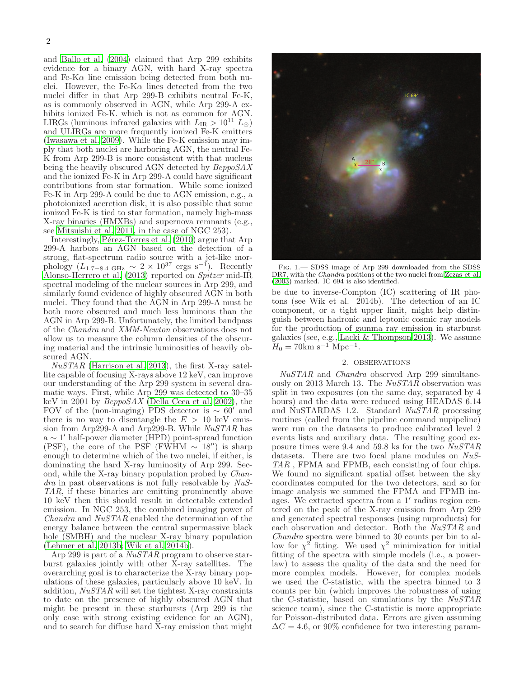and [Ballo et al. \(2004\)](#page-8-10) claimed that Arp 299 exhibits evidence for a binary AGN, with hard X-ray spectra and Fe-K $\alpha$  line emission being detected from both nuclei. However, the Fe-K $\alpha$  lines detected from the two nuclei differ in that Arp 299-B exhibits neutral Fe-K, as is commonly observed in AGN, while Arp 299-A exhibits ionized Fe-K. which is not as common for AGN. LIRGs (luminous infrared galaxies with  $L_{IR} > 10^{11} L_{\odot}$ ) and ULIRGs are more frequently ionized Fe-K emitters [\(Iwasawa et al. 2009](#page-8-11)). While the Fe-K emission may imply that both nuclei are harboring AGN, the neutral Fe-K from Arp 299-B is more consistent with that nucleus being the heavily obscured AGN detected by  $BeppoSAX$ and the ionized Fe-K in Arp 299-A could have significant contributions from star formation. While some ionized Fe-K in Arp 299-A could be due to AGN emission, e.g., a photoionized accretion disk, it is also possible that some ionized Fe-K is tied to star formation, namely high-mass X-ray binaries (HMXBs) and supernova remnants (e.g., see [Mitsuishi et al. 2011,](#page-8-12) in the case of NGC 253).

Interestingly, Pérez-Torres et al. (2010) argue that Arp 299-A harbors an AGN based on the detection of a strong, flat-spectrum radio source with a jet-like morphology  $(L_{1.7-8.4 \text{ GHz}}^{\bullet} \sim 2 \times 10^{37} \text{ ergs s}^{-1})$ . Recently [Alonso-Herrero et al. \(2013\)](#page-8-14) reported on Spitzer mid-IR spectral modeling of the nuclear sources in Arp 299, and similarly found evidence of highly obscured AGN in both nuclei. They found that the AGN in Arp 299-A must be both more obscured and much less luminous than the AGN in Arp 299-B. Unfortunately, the limited bandpass of the Chandra and XMM-Newton observations does not allow us to measure the column densities of the obscuring material and the intrinsic luminosities of heavily obscured AGN.

 $NuSTAR$  [\(Harrison et al. 2013\)](#page-8-15), the first X-ray satellite capable of focusing X-rays above 12 keV, can improve our understanding of the Arp 299 system in several dramatic ways. First, while Arp 299 was detected to 30–35 keV in 2001 by BeppoSAX [\(Della Ceca et al. 2002\)](#page-8-9), the FOV of the (non-imaging) PDS detector is  $\sim 60'$  and there is no way to disentangle the  $E > 10$  keV emission from Arp299-A and Arp299-B. While NuSTAR has a ∼ 1 ′ half-power diameter (HPD) point-spread function (PSF), the core of the PSF (FWHM  $\sim 18''$ ) is sharp enough to determine which of the two nuclei, if either, is dominating the hard X-ray luminosity of Arp 299. Second, while the X-ray binary population probed by Chan $dra$  in past observations is not fully resolvable by  $NuS$ -TAR, if these binaries are emitting prominently above 10 keV then this should result in detectable extended emission. In NGC 253, the combined imaging power of Chandra and NuSTAR enabled the determination of the energy balance between the central supermassive black hole (SMBH) and the nuclear X-ray binary population [\(Lehmer et al. 2013b;](#page-8-16) [Wik et al. 2014b](#page-8-17)).

Arp 299 is part of a NuSTAR program to observe starburst galaxies jointly with other X-ray satellites. The overarching goal is to characterize the X-ray binary populations of these galaxies, particularly above 10 keV. In addition,  $NuSTAR$  will set the tightest X-ray constraints to date on the presence of highly obscured AGN that might be present in these starbursts (Arp 299 is the only case with strong existing evidence for an AGN), and to search for diffuse hard X-ray emission that might



Fig. 1.— SDSS image of Arp 299 downloaded from the SDSS DR7, with the Chandra positions of the two nuclei from [Zezas et al.](#page-8-8) [\(2003\)](#page-8-8) marked. IC 694 is also identified.

<span id="page-1-0"></span>be due to inverse-Compton (IC) scattering of IR photons (see Wik et al. 2014b). The detection of an IC component, or a tight upper limit, might help distinguish between hadronic and leptonic cosmic ray models for the production of gamma ray emission in starburst galaxies (see, e.g., [Lacki & Thompson 2013\)](#page-8-18). We assume  $H_0 = 70 \text{km s}^{-1} \text{ Mpc}^{-1}.$ 

## 2. OBSERVATIONS

NuSTAR and Chandra observed Arp 299 simultaneously on 2013 March 13. The NuSTAR observation was split in two exposures (on the same day, separated by 4 hours) and the data were reduced using HEADAS 6.14 and NuSTARDAS 1.2. Standard  $Nu\overline{STAR}$  processing routines (called from the pipeline command nupipeline) were run on the datasets to produce calibrated level 2 events lists and auxiliary data. The resulting good exposure times were 9.4 and 59.8 ks for the two NuSTAR datasets. There are two focal plane modules on NuS-TAR , FPMA and FPMB, each consisting of four chips. We found no significant spatial offset between the sky coordinates computed for the two detectors, and so for image analysis we summed the FPMA and FPMB images. We extracted spectra from a 1' radius region centered on the peak of the X-ray emission from Arp 299 and generated spectral responses (using nuproducts) for each observation and detector. Both the  $NuSTAR$  and Chandra spectra were binned to 30 counts per bin to allow for  $\chi^2$  fitting. We used  $\chi^2$  minimization for initial fitting of the spectra with simple models (i.e., a powerlaw) to assess the quality of the data and the need for more complex models. However, for complex models we used the C-statistic, with the spectra binned to 3 counts per bin (which improves the robustness of using the C-statistic, based on simulations by the NuSTAR science team), since the C-statistic is more appropriate for Poisson-distributed data. Errors are given assuming  $\Delta C = 4.6$ , or 90% confidence for two interesting param-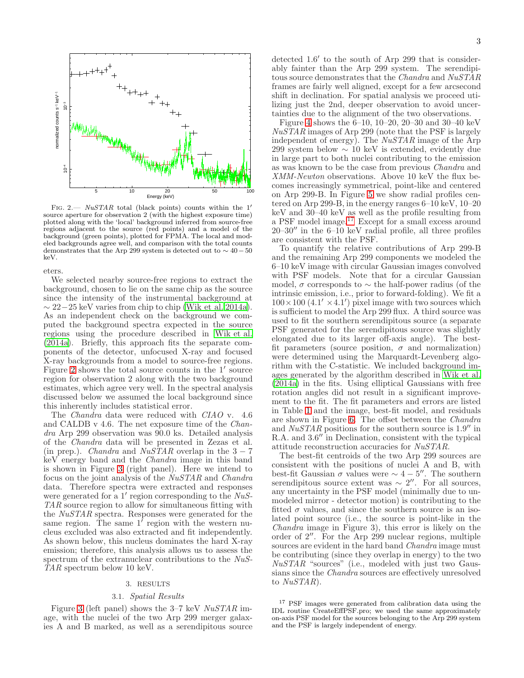

<span id="page-2-0"></span>FIG. 2.—  $NuSTAR$  total (black points) counts within the 1' source aperture for observation 2 (with the highest exposure time) plotted along with the 'local' background inferred from source-free regions adjacent to the source (red points) and a model of the background (green points), plotted for FPMA. The local and modeled backgrounds agree well, and comparison with the total counts demonstrates that the Arp 299 system is detected out to  $\sim 40-50$ keV.

eters.

We selected nearby source-free regions to extract the background, chosen to lie on the same chip as the source since the intensity of the instrumental background at  $\sim$  22−25 keV varies from chip to chip [\(Wik et al. 2014a\)](#page-8-19). As an independent check on the background we computed the background spectra expected in the source regions using the procedure described in [Wik et al.](#page-8-19) [\(2014a\)](#page-8-19). Briefly, this approach fits the separate components of the detector, unfocused X-ray and focused X-ray backgrounds from a model to source-free regions. Figure [2](#page-2-0) shows the total source counts in the 1' source region for observation 2 along with the two background estimates, which agree very well. In the spectral analysis discussed below we assumed the local background since this inherently includes statistical error.

The *Chandra* data were reduced with *CIAO* v. 4.6 and CALDB v 4.6. The net exposure time of the Chandra Arp 299 observation was 90.0 ks. Detailed analysis of the Chandra data will be presented in Zezas et al. (in prep.). *Chandra* and  $NuSTAR$  overlap in the  $3-7$ keV energy band and the Chandra image in this band is shown in Figure [3](#page-3-0) (right panel). Here we intend to focus on the joint analysis of the *NuSTAR* and *Chandra* data. Therefore spectra were extracted and responses were generated for a  $1'$  region corresponding to the  $N uS$ -TAR source region to allow for simultaneous fitting with the NuSTAR spectra. Responses were generated for the same region. The same  $1'$  region with the western nucleus excluded was also extracted and fit independently. As shown below, this nucleus dominates the hard X-ray emission; therefore, this analysis allows us to assess the spectrum of the extranuclear contributions to the NuS-TAR spectrum below 10 keV.

# 3. RESULTS

#### 3.1. Spatial Results

Figure [3](#page-3-0) (left panel) shows the 3–7 keV NuSTAR image, with the nuclei of the two Arp 299 merger galaxies A and B marked, as well as a serendipitous source

detected 1.6′ to the south of Arp 299 that is considerably fainter than the Arp 299 system. The serendipitous source demonstrates that the Chandra and NuSTAR frames are fairly well aligned, except for a few arcsecond shift in declination. For spatial analysis we proceed utilizing just the 2nd, deeper observation to avoid uncertainties due to the alignment of the two observations.

Figure [4](#page-3-1) shows the 6–10, 10–20, 20–30 and 30–40 keV NuSTAR images of Arp 299 (note that the PSF is largely independent of energy). The  $NuSTAR$  image of the Arp 299 system below  $\sim 10 \text{ keV}$  is extended, evidently due in large part to both nuclei contributing to the emission as was known to be the case from previous Chandra and XMM-Newton observations. Above 10 keV the flux becomes increasingly symmetrical, point-like and centered on Arp 299-B. In Figure [5](#page-3-2) we show radial profiles centered on Arp 299-B, in the energy ranges 6–10 keV, 10–20 keV and 30–40 keV as well as the profile resulting from a PSF model image.<sup>[17](#page-2-1)</sup> Except for a small excess around  $20-30''$  in the  $6-10$  keV radial profile, all three profiles are consistent with the PSF.

To quantify the relative contributions of Arp 299-B and the remaining Arp 299 components we modeled the 6–10 keV image with circular Gaussian images convolved with PSF models. Note that for a circular Gaussian model,  $\sigma$  corresponds to  $\sim$  the half-power radius (of the intrinsic emission, i.e., prior to forward-folding). We fit a  $100 \times 100$  (4.1'  $\times$  4.1') pixel image with two sources which is sufficient to model the Arp 299 flux. A third source was used to fit the southern serendipitous source (a separate PSF generated for the serendipitous source was slightly elongated due to its larger off-axis angle). The bestfit parameters (source position,  $\sigma$  and normalization) were determined using the Marquardt-Levenberg algorithm with the C-statistic. We included background images generated by the algorithm described in [Wik et al.](#page-8-19) [\(2014a\)](#page-8-19) in the fits. Using elliptical Gaussians with free rotation angles did not result in a significant improvement to the fit. The fit parameters and errors are listed in Table [1](#page-4-0) and the image, best-fit model, and residuals are shown in Figure [6.](#page-4-1) The offset between the Chandra and NuSTAR positions for the southern source is 1.9′′ in R.A. and 3.6′′ in Declination, consistent with the typical attitude reconstruction accuracies for NuSTAR.

The best-fit centroids of the two Arp 299 sources are consistent with the positions of nuclei A and B, with best-fit Gaussian  $\sigma$  values were  $\sim 4-5$ ". The southern serendipitous source extent was  $\sim 2''$ . For all sources, any uncertainty in the PSF model (minimally due to unmodeled mirror - detector motion) is contributing to the fitted  $\sigma$  values, and since the southern source is an isolated point source (i.e., the source is point-like in the Chandra image in Figure 3), this error is likely on the order of 2′′. For the Arp 299 nuclear regions, multiple sources are evident in the hard band *Chandra* image must be contributing (since they overlap in energy) to the two NuSTAR "sources" (i.e., modeled with just two Gaussians since the Chandra sources are effectively unresolved to NuSTAR).

<span id="page-2-1"></span><sup>17</sup> PSF images were generated from calibration data using the IDL routine CreateEffPSF.pro; we used the same approximately on-axis PSF model for the sources belonging to the Arp 299 system and the PSF is largely independent of energy.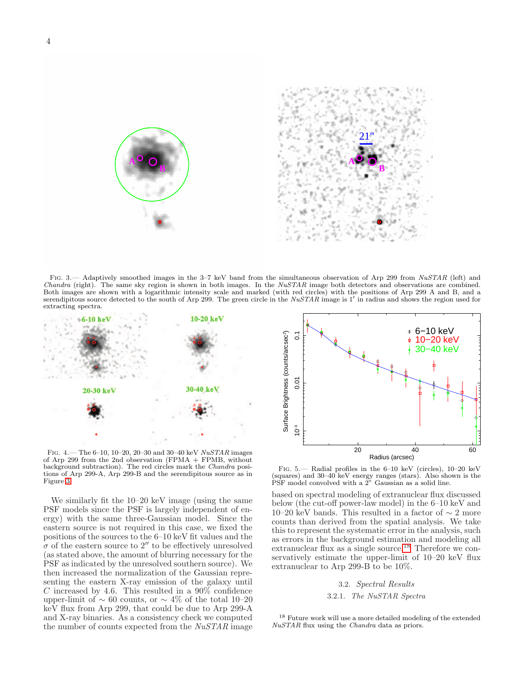



FIG. 3.— Adaptively smoothed images in the 3–7 keV band from the simultaneous observation of Arp 299 from NuSTAR (left) and *Chandra* (right). The same sky region is shown in both images. In the  $NuSTAR$  image both detectors and observations are combined. Both images are shown with a logarithmic intensity scale and marked (with red circles) with the positions of Arp 299 A and B, and a serendipitous source detected to the south of Arp 299. The green circle in the  $NuSTAR$  image is 1' in radius and shows the region used for extracting spectra.

<span id="page-3-0"></span>

<span id="page-3-1"></span>FIG.  $4.$  The 6-10, 10-20, 20-30 and 30-40 keV  $NuSTAR$  images of Arp 299 from the 2nd observation (FPMA + FPMB, without background subtraction). The red circles mark the Chandra positions of Arp 299-A, Arp 299-B and the serendipitous source as in Figure [3.](#page-3-0)

We similarly fit the 10–20 keV image (using the same PSF models since the PSF is largely independent of energy) with the same three-Gaussian model. Since the eastern source is not required in this case, we fixed the positions of the sources to the 6–10 keV fit values and the  $\sigma$  of the eastern source to 2'' to be effectively unresolved (as stated above, the amount of blurring necessary for the PSF as indicated by the unresolved southern source). We then increased the normalization of the Gaussian representing the eastern X-ray emission of the galaxy until C increased by 4.6. This resulted in a  $90\%$  confidence upper-limit of  $\sim 60$  counts, or  $\sim 4\%$  of the total 10–20 keV flux from Arp 299, that could be due to Arp 299-A and X-ray binaries. As a consistency check we computed the number of counts expected from the NuSTAR image



<span id="page-3-2"></span>Fig. 5.— Radial profiles in the 6–10 keV (circles), 10–20 keV (squares) and 30–40 keV energy ranges (stars). Also shown is the PSF model convolved with a 2" Gaussian as a solid line.

based on spectral modeling of extranuclear flux discussed below (the cut-off power-law model) in the 6–10 keV and 10–20 keV bands. This resulted in a factor of  $\sim$  2 more counts than derived from the spatial analysis. We take this to represent the systematic error in the analysis, such as errors in the background estimation and modeling all extranuclear flux as  $a \sin\theta$  source.<sup>[18](#page-3-3)</sup> Therefore we conservatively estimate the upper-limit of 10–20 keV flux extranuclear to Arp 299-B to be 10%.

# 3.2. Spectral Results

3.2.1. The NuSTAR Spectra

<span id="page-3-3"></span><sup>18</sup> Future work will use a more detailed modeling of the extended NuSTAR flux using the Chandra data as priors.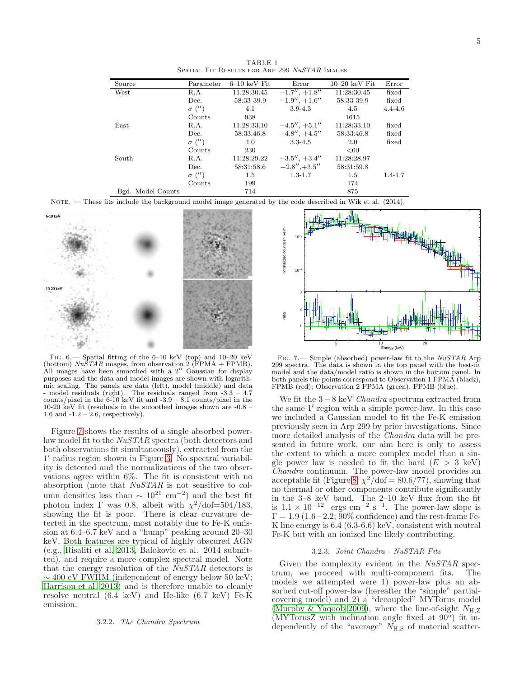<span id="page-4-0"></span>

| Source            | Parameter     | $6-10~keV$ Fit | Error               | $10-20~keV$ Fit | Error       |
|-------------------|---------------|----------------|---------------------|-----------------|-------------|
| West              | R.A.          | 11:28:30.45    | $-1.7'', +1.8''$    | 11:28:30.45     | fixed       |
|                   | Dec.          | 58:33 39.9     | $-1.9'', +1.6''$    | 58:33 39.9      | fixed       |
|                   | $\sigma$ ('') | 4.1            | $3.9 - 4.3$         | 4.5             | $4.4 - 4.6$ |
|                   | Counts        | 938            |                     | 1615            |             |
| East              | R.A.          | 11:28:33.10    | $-4.5'', +5.1''$    | 11:28:33.10     | fixed       |
|                   | Dec.          | 58:33:46.8     | $-4.8''$ , $+4.5''$ | 58:33:46.8      | fixed       |
|                   | $\sigma$ ('') | 4.0            | $3.3 - 4.5$         | 2.0             | fixed       |
|                   | Counts        | 230            |                     | < 60            |             |
| South             | R.A.          | 11:28:29.22    | $-3.5'', +3.4''$    | 11:28:28.97     |             |
|                   | Dec.          | 58:31:58.6     | $-2.8''$ , $+3.5''$ | 58:31:59.8      |             |
|                   | $\sigma$ ('') | $1.5\,$        | $1.3 - 1.7$         | $1.5\,$         | $1.4 - 1.7$ |
|                   | Counts        | 199            |                     | 174             |             |
| Bgd. Model Counts |               | 714            |                     | 875             |             |

TABLE 1 SPATIAL FIT RESULTS FOR ARP 299 NuSTAR IMAGES

NOTE. — These fits include the background model image generated by the code described in Wik et al. (2014).



<span id="page-4-1"></span>Fig. 6.— Spatial fitting of the 6–10 keV (top) and 10–20 keV (bottom)  $Nu\overline{S}TAR$  images, from observation 2 (FPMA + FPMB). All images have been smoothed with a 2" Gaussian for display purposes and the data and model images are shown with logarithmic scaling. The panels are data (left), model (middle) and data - model residuals (right). The residuals ranged from -3.3 – 4.7 counts/pixel in the  $6-10$  keV fit and  $-3.9 - 8.1$  counts/pixel in the 10-20 keV fit (residuals in the smoothed images shown are -0.8 – 1.6 and -1.2 – 2.6, respectively).

Figure [7](#page-4-2) shows the results of a single absorbed powerlaw model fit to the NuSTAR spectra (both detectors and both observations fit simultaneously), extracted from the 1 ′ radius region shown in Figure [3.](#page-3-0) No spectral variability is detected and the normalizations of the two observations agree within 6%. The fit is consistent with no absorption (note that NuSTAR is not sensitive to column densities less than  $\sim 10^{21}$  cm<sup>-2</sup>) and the best fit photon index  $\Gamma$  was 0.8, albeit with  $\chi^2/\text{dof} = 504/183$ , showing the fit is poor. There is clear curvature detected in the spectrum, most notably due to Fe-K emission at  $6.4-6.7$  keV and a "hump" peaking around  $20-30$ keV. Both features are typical of highly obscured AGN (e.g., [Risaliti et al. 2013,](#page-8-20) Balokovic et al. 2014 submitted), and require a more complex spectral model. Note that the energy resolution of the  $NuSTAR$  detectors is  $\sim$  400 eV FWHM (independent of energy below 50 keV; [Harrison et al. 2013\)](#page-8-15) and is therefore unable to cleanly resolve neutral (6.4 keV) and He-like (6.7 keV) Fe-K emission.

#### 3.2.2. The Chandra Spectrum



<span id="page-4-2"></span>Fig. 7.— Simple (absorbed) power-law fit to the NuSTAR Arp 299 spectra. The data is shown in the top panel with the best-fit model and the data/model ratio is shown in the bottom panel. In both panels the points correspond to Observation 1 FPMA (black), FPMB (red); Observation 2 FPMA (green), FPMB (blue).

We fit the 3−8 keV Chandra spectrum extracted from the same 1′ region with a simple power-law. In this case we included a Gaussian model to fit the Fe-K emission previously seen in Arp 299 by prior investigations. Since more detailed analysis of the *Chandra* data will be presented in future work, our aim here is only to assess the extent to which a more complex model than a single power law is needed to fit the hard  $(E > 3 \text{ keV})$ Chandra continuum. The power-law model provides an acceptable fit (Figure [8;](#page-5-0)  $\chi^2/\text{dof} = 80.6/77$ ), showing that no thermal or other components contribute significantly in the 3–8 keV band. The 2–10 keV flux from the fit is  $1.1 \times 10^{-12}$  ergs cm<sup>-2</sup> s<sup>-1</sup>. The power-law slope is  $\Gamma = 1.9$  (1.6−2.2; 90% confidence) and the rest-frame Fe-K line energy is 6.4 (6.3-6.6) keV, consistent with neutral Fe-K but with an ionized line likely contributing.

## 3.2.3. Joint Chandra - NuSTAR Fits

Given the complexity evident in the NuSTAR spectrum, we proceed with multi-component fits. The models we attempted were 1) power-law plus an absorbed cut-off power-law (hereafter the "simple" partialcovering model) and 2) a "decoupled" MYTorus model [\(Murphy & Yaqoob 2009](#page-8-21)), where the line-of-sight  $N_{H,Z}$  $(MYT\overline{\text{or}}$ usZ with inclination angle fixed at  $90^{\circ}$ ) fit independently of the "average"  $\widetilde{N}_{\rm H,S}$  of material scatter-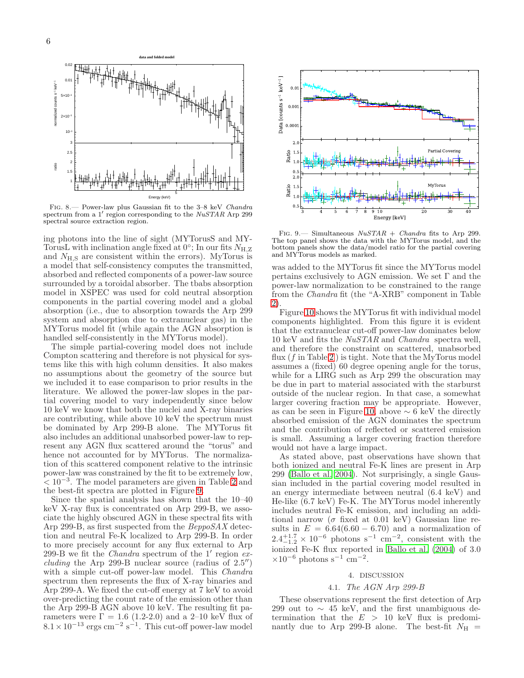

<span id="page-5-0"></span>Fig. 8.— Power-law plus Gaussian fit to the 3–8 keV Chandra spectrum from a 1' region corresponding to the NuSTAR Arp 299 spectral source extraction region.

ing photons into the line of sight (MYTorusS and MY-TorusL with inclination angle fixed at  $0^{\circ}$ ; In our fits  $N_{\rm H,Z}$ and  $N_{\rm H,S}$  are consistent within the errors). MyTorus is a model that self-consistency computes the transmitted, absorbed and reflected components of a power-law source surrounded by a toroidal absorber. The tbabs absorption model in XSPEC was used for cold neutral absorption components in the partial covering model and a global absorption (i.e., due to absorption towards the Arp 299 system and absorption due to extranuclear gas) in the MYTorus model fit (while again the AGN absorption is handled self-consistently in the MYTorus model).

The simple partial-covering model does not include Compton scattering and therefore is not physical for systems like this with high column densities. It also makes no assumptions about the geometry of the source but we included it to ease comparison to prior results in the literature. We allowed the power-law slopes in the partial covering model to vary independently since below 10 keV we know that both the nuclei and X-ray binaries are contributing, while above 10 keV the spectrum must be dominated by Arp 299-B alone. The MYTorus fit also includes an additional unabsorbed power-law to represent any AGN flux scattered around the "torus" and hence not accounted for by MYTorus. The normalization of this scattered component relative to the intrinsic power-law was constrained by the fit to be extremely low,  $< 10^{-3}$ . The model parameters are given in Table [2](#page-6-0) and the best-fit spectra are plotted in Figure [9.](#page-5-1)

Since the spatial analysis has shown that the 10–40 keV X-ray flux is concentrated on Arp 299-B, we associate the highly obscured AGN in these spectral fits with Arp 299-B, as first suspected from the BeppoSAX detection and neutral Fe-K localized to Arp 299-B. In order to more precisely account for any flux external to Arp 299-B we fit the *Chandra* spectrum of the  $1'$  region  $ex$ *cluding* the Arp 299-B nuclear source (radius of  $2.5''$ ) with a simple cut-off power-law model. This *Chandra* spectrum then represents the flux of X-ray binaries and Arp 299-A. We fixed the cut-off energy at 7 keV to avoid over-predicting the count rate of the emission other than the Arp 299-B AGN above 10 keV. The resulting fit parameters were  $\Gamma = 1.6$  (1.2-2.0) and a 2-10 keV flux of  $8.1 \times 10^{-13}$  ergs cm<sup>-2</sup> s<sup>-1</sup>. This cut-off power-law model



<span id="page-5-1"></span>FIG. 9.— Simultaneous  $NuSTAR + Chandra$  fits to Arp 299. The top panel shows the data with the MYTorus model, and the bottom panels show the data/model ratio for the partial covering and MYTorus models as marked.

was added to the MYTorus fit since the MYTorus model pertains exclusively to AGN emission. We set  $\Gamma$  and the power-law normalization to be constrained to the range from the Chandra fit (the "A-XRB" component in Table [2\)](#page-6-0).

Figure [10](#page-6-1) shows the MYTorus fit with individual model components highlighted. From this figure it is evident that the extranuclear cut-off power-law dominates below 10 keV and fits the NuSTAR and Chandra spectra well, and therefore the constraint on scattered, unabsorbed flux  $(f \text{ in Table 2})$  $(f \text{ in Table 2})$  $(f \text{ in Table 2})$  is tight. Note that the MyTorus model assumes a (fixed) 60 degree opening angle for the torus, while for a LIRG such as Arp 299 the obscuration may be due in part to material associated with the starburst outside of the nuclear region. In that case, a somewhat larger covering fraction may be appropriate. However, as can be seen in Figure [10,](#page-6-1) above  $\sim$  6 keV the directly absorbed emission of the AGN dominates the spectrum and the contribution of reflected or scattered emission is small. Assuming a larger covering fraction therefore would not have a large impact.

As stated above, past observations have shown that both ionized and neutral Fe-K lines are present in Arp 299 [\(Ballo et al. 2004\)](#page-8-10). Not surprisingly, a single Gaussian included in the partial covering model resulted in an energy intermediate between neutral (6.4 keV) and He-like (6.7 keV) Fe-K. The MYTorus model inherently includes neutral Fe-K emission, and including an additional narrow ( $\sigma$  fixed at 0.01 keV) Gaussian line results in  $E = 6.64(6.60 - 6.70)$  and a normalization of  $2.4^{+1.7}_{-1.2} \times 10^{-6}$  photons s<sup>-1</sup> cm<sup>-2</sup>, consistent with the ionized Fe-K flux reported in [Ballo et al. \(2004\)](#page-8-10) of 3.0  $\times 10^{-6}$  photons s<sup>-1</sup> cm<sup>-2</sup>.

# 4. DISCUSSION

#### 4.1. The AGN Arp 299-B

These observations represent the first detection of Arp 299 out to  $\sim$  45 keV, and the first unambiguous determination that the  $E > 10$  keV flux is predominantly due to Arp 299-B alone. The best-fit  $N_{\rm H}$  =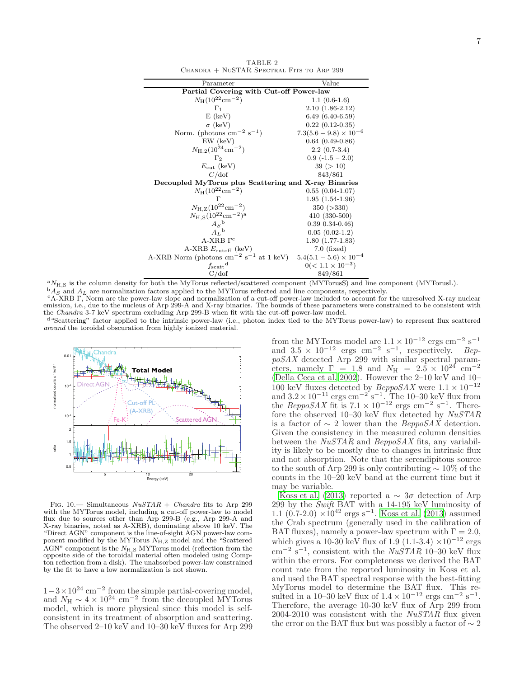<span id="page-6-0"></span>

| Parameter                                               | Value                       |  |  |  |  |
|---------------------------------------------------------|-----------------------------|--|--|--|--|
| Partial Covering with Cut-off Power-law                 |                             |  |  |  |  |
| $N_{\rm H} (10^{22} \rm cm^{-2})$                       | $1.1(0.6-1.6)$              |  |  |  |  |
| $\Gamma_1$                                              | $2.10(1.86-2.12)$           |  |  |  |  |
| $E$ (keV)                                               | $6.49(6.40-6.59)$           |  |  |  |  |
| $\sigma$ (keV)                                          | $0.22(0.12-0.35)$           |  |  |  |  |
| Norm. (photons $\text{cm}^{-2} \text{ s}^{-1}$ )        | $7.3(5.6-9.8)\times10^{-6}$ |  |  |  |  |
| $EW$ (keV)                                              | $0.64(0.49-0.86)$           |  |  |  |  |
| $N_{\rm H,2}(10^{24} \rm cm^{-2})$                      | $2.2(0.7-3.4)$              |  |  |  |  |
| $\Gamma_{2}$                                            | $0.9(-1.5-2.0)$             |  |  |  |  |
| $E_{\rm cut}$ (keV)                                     | 39 (> 10)                   |  |  |  |  |
| C/dof                                                   | 843/861                     |  |  |  |  |
| Decoupled MyTorus plus Scattering and X-ray Binaries    |                             |  |  |  |  |
| $N_H(10^{22} \text{cm}^{-2})$                           | $0.55(0.04-1.07)$           |  |  |  |  |
| Г                                                       | $1.95(1.54-1.96)$           |  |  |  |  |
| $N_{\rm H,Z} (10^{22} \rm cm^{-2})$                     | 350 (>330)                  |  |  |  |  |
| $N_{\rm H.S}(10^{22} \rm cm^{-2})^{\rm a}$              | $410(330-500)$              |  |  |  |  |
| $A_S^{\{b\}}$                                           | $0.39$ $0.34 - 0.46$        |  |  |  |  |
| $A_L$ <sup>b</sup>                                      | $0.05(0.02-1.2)$            |  |  |  |  |
| $A-XRB$ $\Gamma$ <sup>c</sup>                           | $1.80(1.77-1.83)$           |  |  |  |  |
| A-XRB $E_{\text{cutoff}}$ (keV)                         | $7.0$ (fixed)               |  |  |  |  |
| A-XRB Norm (photons $cm^{-2}$ s <sup>-1</sup> at 1 keV) | $5.4(5.1-5.6)\times10^{-4}$ |  |  |  |  |
| $f_{\rm scatt}$ <sup>d</sup>                            | $0(< 1.1 \times 10^{-3})$   |  |  |  |  |
| C/dof                                                   | 849/861                     |  |  |  |  |
|                                                         |                             |  |  |  |  |

TABLE 2 Chandra + NuSTAR Spectral Fits to Arp 299

 ${}^{a}N_{H,S}$  is the column density for both the MyTorus reflected/scattered component (MYTorusS) and line component (MYTorusL).  $\Delta A_S$  and  $A_L$  are normalization factors applied to the MYTorus reflected and line components, respectively.

<sup>c</sup>A-XRB Γ, Norm are the power-law slope and normalization of a cut-off power-law included to account for the unresolved X-ray nuclear emission, i.e., due to the nucleus of Arp 299-A and X-ray binaries. The bounds of these parameters were constrained to be consistent with the Chandra 3-7 keV spectrum excluding Arp 299-B when fit with the cut-off power-law model.

<sup>d</sup>"Scattering" factor applied to the intrinsic power-law (i.e., photon index tied to the MYTorus power-law) to represent flux scattered around the toroidal obscuration from highly ionized material.



<span id="page-6-1"></span>Fig. 10.— Simultaneous  $NuSTAR + Chandra$  fits to Arp 299 with the MYTorus model, including a cut-off power-law to model flux due to sources other than Arp 299-B (e.g., Arp 299-A and X-ray binaries, noted as A-XRB), dominating above 10 keV. The "Direct AGN" component is the line-of-sight AGN power-law component modified by the MYTorus  $N_{\rm H,Z}$  model and the "Scattered AGN" component is the  $N_{H,S}$  MYTorus model (reflection from the opposite side of the toroidal material often modeled using Compton reflection from a disk). The unabsorbed power-law constrained by the fit to have a low normalization is not shown.

 $1-3\times10^{24}$  cm<sup>-2</sup> from the simple partial-covering model,<br>and  $N_{\rm H} \sim 4\times10^{24}$  cm<sup>-2</sup> from the decoupled MYTorus model, which is more physical since this model is selfconsistent in its treatment of absorption and scattering. The observed 2–10 keV and 10–30 keV fluxes for Arp 299

from the MYTorus model are  $1.1 \times 10^{-12}$  ergs cm<sup>-2</sup> s<sup>-1</sup> and  $3.5 \times 10^{-12}$  ergs cm<sup>-2</sup> s<sup>-1</sup>, respectively. BeppoSAX detected Arp 299 with similar spectral parameters, namely  $\Gamma = 1.8$  and  $N_{\rm H} = 2.5 \times 10^{24}$  cm<sup>-2</sup> [\(Della Ceca et al. 2002\)](#page-8-9). However the 2–10 keV and 10– 100 keV fluxes detected by  $BeppoSAX$  were  $1.1 \times 10^{-12}$ and  $3.2 \times 10^{-11}$  ergs cm<sup>-2'</sup>s<sup>-1</sup>. The 10-30 keV flux from the BeppoSAX fit is  $7.1 \times 10^{-12}$  ergs cm<sup>-2</sup> s<sup>-1</sup>. Therefore the observed 10–30 keV flux detected by NuSTAR is a factor of  $\sim$  2 lower than the *BeppoSAX* detection. Given the consistency in the measured column densities between the NuSTAR and BeppoSAX fits, any variability is likely to be mostly due to changes in intrinsic flux and not absorption. Note that the serendipitous source to the south of Arp 299 is only contributing ∼ 10% of the counts in the 10–20 keV band at the current time but it may be variable.

[Koss et al. \(2013\)](#page-8-22) reported a  $\sim 3\sigma$  detection of Arp 299 by the Swift BAT with a 14-195 keV luminosity of 1.1 (0.7-2.0)  $\times 10^{42}$  ergs s<sup>-1</sup>. [Koss et al. \(2013](#page-8-22)) assumed the Crab spectrum (generally used in the calibration of BAT fluxes), namely a power-law spectrum with  $\Gamma = 2.0$ , which gives a 10-30 keV flux of 1.9 (1.1-3.4)  $\times 10^{-12}$  ergs  $\text{cm}^{-2}$  s<sup>-1</sup>, consistent with the *NuSTAR* 10-30 keV flux within the errors. For completeness we derived the BAT count rate from the reported luminosity in Koss et al. and used the BAT spectral response with the best-fitting MyTorus model to determine the BAT flux. This resulted in a 10–30 keV flux of  $1.4 \times 10^{-12}$  ergs cm<sup>-2</sup> s<sup>-1</sup>. Therefore, the average 10-30 keV flux of Arp 299 from 2004-2010 was consistent with the  $NuSTAR$  flux given the error on the BAT flux but was possibly a factor of  $\sim 2$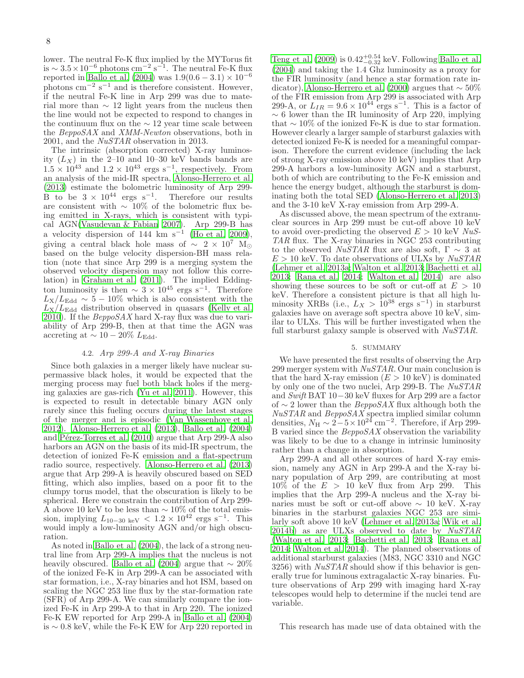lower. The neutral Fe-K flux implied by the MYTorus fit is  $\sim 3.5 \times 10^{-6}$  photons cm<sup>-2</sup> s<sup>-1</sup>. The neutral Fe-K flux reported in [Ballo et al. \(2004\)](#page-8-10) was  $1.9(0.6 - 3.1) \times 10^{-6}$ photons  $\text{cm}^{-2}$  s<sup>-1</sup> and is therefore consistent. However, if the neutral Fe-K line in Arp 299 was due to material more than  $\sim$  12 light years from the nucleus then the line would not be expected to respond to changes in the continuum flux on the  $\sim$  12 year time scale between the BeppoSAX and XMM-Newton observations, both in 2001, and the NuSTAR observation in 2013.

The intrinsic (absorption corrected) X-ray luminosity  $(L_X)$  in the 2–10 and 10–30 keV bands bands are  $1.5 \times 10^{43}$  and  $1.2 \times 10^{43}$  ergs s<sup>-1</sup>, respectively. From an analysis of the mid-IR spectra, [Alonso-Herrero et al.](#page-8-14) [\(2013\)](#page-8-14) estimate the bolometric luminosity of Arp 299- B to be  $3 \times 10^{44}$  ergs s<sup>-1</sup>. Therefore our results are consistent with  $\sim 10\%$  of the bolometric flux being emitted in X-rays, which is consistent with typical AGN[\(Vasudevan & Fabian 2007](#page-8-23)). Arp 299-B has a velocity dispersion of 144 km s<sup>-1</sup> [\(Ho et al. 2009\)](#page-8-24), giving a central black hole mass of  $\sim 2 \times 10^7$  M<sub>☉</sub> based on the bulge velocity dispersion-BH mass relation (note that since Arp 299 is a merging system the observed velocity dispersion may not follow this correlation) in [Graham et al. \(2011\)](#page-8-25). The implied Eddington luminosity is then  $\sim 3 \times 10^{45}$  ergs s<sup>-1</sup>. Therefore  $L_{\rm X}/L_{\rm Edd} \sim 5-10\%$  which is also consistent with the  $L_{\rm X}/L_{\rm Edd}$  distribution observed in quasars [\(Kelly et al.](#page-8-26) [2010\)](#page-8-26). If the  $BeppoSAX$  hard X-ray flux was due to variability of Arp 299-B, then at that time the AGN was accreting at  $\sim 10-20\%$  L<sub>Edd</sub>.

# 4.2. Arp 299-A and X-ray Binaries

Since both galaxies in a merger likely have nuclear supermassive black holes, it would be expected that the merging process may fuel both black holes if the merging galaxies are gas-rich [\(Yu et al. 2011](#page-8-27)). However, this is expected to result in detectable binary AGN only rarely since this fueling occurs during the latest stages of the merger and is episodic [\(Van Wassenhove et al.](#page-8-28) [2012\)](#page-8-28). [Alonso-Herrero et al. \(2013\)](#page-8-14), [Ballo et al. \(2004](#page-8-10)) and Pérez-Torres et al. (2010) argue that Arp 299-A also harbors an AGN on the basis of its mid-IR spectrum, the detection of ionized Fe-K emission and a flat-spectrum radio source, respectively. [Alonso-Herrero et al. \(2013](#page-8-14)) argue that Arp 299-A is heavily obscured based on SED fitting, which also implies, based on a poor fit to the clumpy torus model, that the obscuration is likely to be spherical. Here we constrain the contribution of Arp 299- A above 10 keV to be less than  $\sim 10\%$  of the total emission, implying  $L_{10-30 \text{ keV}} < 1.2 \times 10^{42} \text{ ergs s}^{-1}$ . This would imply a low-luminosity AGN and/or high obscuration.

As noted in [Ballo et al. \(2004\)](#page-8-10), the lack of a strong neutral line from Arp 299-A implies that the nucleus is not heavily obscured. [Ballo et al. \(2004\)](#page-8-10) argue that  $\sim 20\%$ of the ionized Fe-K in Arp 299-A can be associated with star formation, i.e., X-ray binaries and hot ISM, based on scaling the NGC 253 line flux by the star-formation rate (SFR) of Arp 299-A. We can similarly compare the ionized Fe-K in Arp 299-A to that in Arp 220. The ionized Fe-K EW reported for Arp 299-A in [Ballo et al. \(2004](#page-8-10)) is ∼ 0.8 keV, while the Fe-K EW for Arp 220 reported in

[Teng et al. \(2009\)](#page-8-29) is  $0.42^{+0.54}_{-0.32}$  keV. Following [Ballo et al.](#page-8-10) [\(2004\)](#page-8-10) and taking the 1.4 Ghz luminosity as a proxy for the FIR luminosity (and hence a star formation rate in-dicator), [Alonso-Herrero et al. \(2000\)](#page-8-30) argues that  $\sim 50\%$ of the FIR emission from Arp 299 is associated with Arp 299-A, or  $L_{IR} = 9.6 \times 10^{44}$  ergs s<sup>-1</sup>. This is a factor of  $\sim 6$  lower than the IR luminosity of Arp 220, implying that  $\sim 10\%$  of the ionized Fe-K is due to star formation. However clearly a larger sample of starburst galaxies with detected ionized Fe-K is needed for a meaningful comparison. Therefore the current evidence (including the lack of strong X-ray emission above 10 keV) implies that Arp 299-A harbors a low-luminosity AGN and a starburst, both of which are contributing to the Fe-K emission and hence the energy budget, although the starburst is dominating both the total SED [\(Alonso-Herrero et al. 2013](#page-8-14)) and the 3-10 keV X-ray emission from Arp 299-A.

As discussed above, the mean spectrum of the extranuclear sources in Arp 299 must be cut-off above 10 keV to avoid over-predicting the observed  $E > 10$  keV NuS-TAR flux. The X-ray binaries in NGC 253 contributing to the observed  $NuSTAR$  flux are also soft,  $\Gamma \sim 3$  at  $E > 10$  keV. To date observations of ULXs by  $NuSTAR$ [\(Lehmer et al. 2013a;](#page-8-31) [Walton et al. 2013;](#page-8-32) [Bachetti et al.](#page-8-33) [2013;](#page-8-33) [Rana et al. 2014;](#page-8-34) [Walton et al. 2014\)](#page-8-35) are also showing these sources to be soft or cut-off at  $E > 10$ keV. Therefore a consistent picture is that all high luminosity XRBs (i.e.,  $L_X > 10^{38}$  ergs s<sup>-1</sup>) in starburst galaxies have on average soft spectra above 10 keV, similar to ULXs. This will be further investigated when the full starburst galaxy sample is observed with  $NuSTAR$ .

## 5. SUMMARY

We have presented the first results of observing the Arp 299 merger system with  $NuSTAR$ . Our main conclusion is that the hard X-ray emission  $(E > 10 \text{ keV})$  is dominated by only one of the two nuclei, Arp 299-B. The NuSTAR and Swift BAT 10−30 keV fluxes for Arp 299 are a factor of  $\sim$  2 lower than the *BeppoSAX* flux although both the NuSTAR and BeppoSAX spectra implied similar column densities,  $N_{\rm H} \sim 2-5 \times 10^{24}$  cm<sup>-2</sup>. Therefore, if Arp 299-B varied since the BeppoSAX observation the variability was likely to be due to a change in intrinsic luminosity rather than a change in absorption.

Arp 299-A and all other sources of hard X-ray emission, namely any AGN in Arp 299-A and the X-ray binary population of Arp 299, are contributing at most  $10\%$  of the  $E > 10$  keV flux from Arp 299. This implies that the Arp 299-A nucleus and the X-ray binaries must be soft or cut-off above  $\sim 10$  keV. X-ray binaries in the starburst galaxies NGC 253 are similarly soft above 10 keV [\(Lehmer et al. 2013a](#page-8-31); [Wik et al.](#page-8-17) [2014b](#page-8-17)) as are ULXs observed to date by NuSTAR [\(Walton et al. 2013;](#page-8-32) [Bachetti et al. 2013;](#page-8-33) [Rana et al.](#page-8-34) [2014;](#page-8-34) [Walton et al. 2014\)](#page-8-35). The planned observations of additional starburst galaxies (M83, NGC 3310 and NGC 3256) with  $NuSTAR$  should show if this behavior is generally true for luminous extragalactic X-ray binaries. Future observations of Arp 299 with imaging hard X-ray telescopes would help to determine if the nuclei tend are variable.

This research has made use of data obtained with the